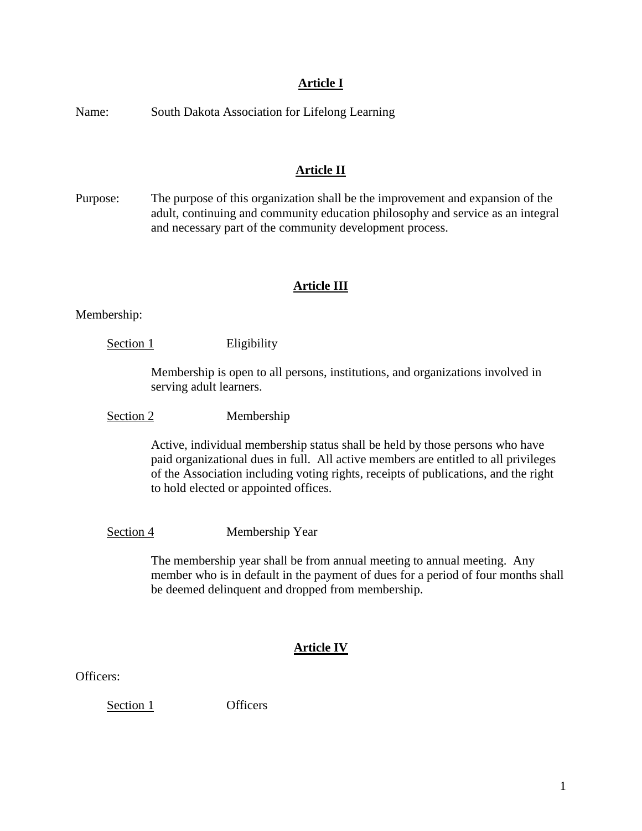# **Article I**

Name: South Dakota Association for Lifelong Learning

# **Article II**

Purpose: The purpose of this organization shall be the improvement and expansion of the adult, continuing and community education philosophy and service as an integral and necessary part of the community development process.

# **Article III**

Membership:

Section 1 Eligibility

Membership is open to all persons, institutions, and organizations involved in serving adult learners.

Section 2 Membership

Active, individual membership status shall be held by those persons who have paid organizational dues in full. All active members are entitled to all privileges of the Association including voting rights, receipts of publications, and the right to hold elected or appointed offices.

Section 4 Membership Year

The membership year shall be from annual meeting to annual meeting. Any member who is in default in the payment of dues for a period of four months shall be deemed delinquent and dropped from membership.

# **Article IV**

Officers:

Section 1 Officers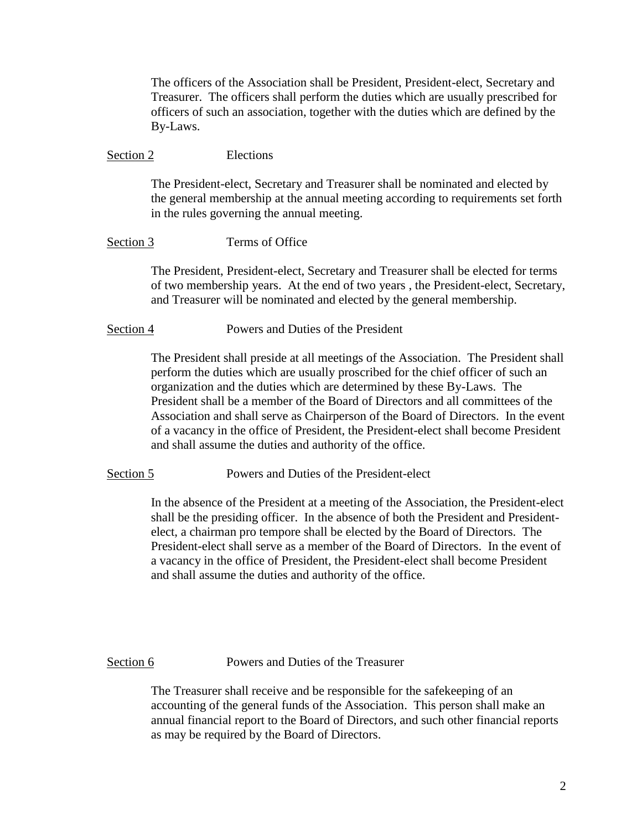The officers of the Association shall be President, President-elect, Secretary and Treasurer. The officers shall perform the duties which are usually prescribed for officers of such an association, together with the duties which are defined by the By-Laws.

#### Section 2 Elections

The President-elect, Secretary and Treasurer shall be nominated and elected by the general membership at the annual meeting according to requirements set forth in the rules governing the annual meeting.

## Section 3 Terms of Office

The President, President-elect, Secretary and Treasurer shall be elected for terms of two membership years. At the end of two years , the President-elect, Secretary, and Treasurer will be nominated and elected by the general membership.

## Section 4 Powers and Duties of the President

The President shall preside at all meetings of the Association. The President shall perform the duties which are usually proscribed for the chief officer of such an organization and the duties which are determined by these By-Laws. The President shall be a member of the Board of Directors and all committees of the Association and shall serve as Chairperson of the Board of Directors. In the event of a vacancy in the office of President, the President-elect shall become President and shall assume the duties and authority of the office.

Section 5 Powers and Duties of the President-elect

In the absence of the President at a meeting of the Association, the President-elect shall be the presiding officer. In the absence of both the President and Presidentelect, a chairman pro tempore shall be elected by the Board of Directors. The President-elect shall serve as a member of the Board of Directors. In the event of a vacancy in the office of President, the President-elect shall become President and shall assume the duties and authority of the office.

Section 6 **Powers and Duties of the Treasurer** 

The Treasurer shall receive and be responsible for the safekeeping of an accounting of the general funds of the Association. This person shall make an annual financial report to the Board of Directors, and such other financial reports as may be required by the Board of Directors.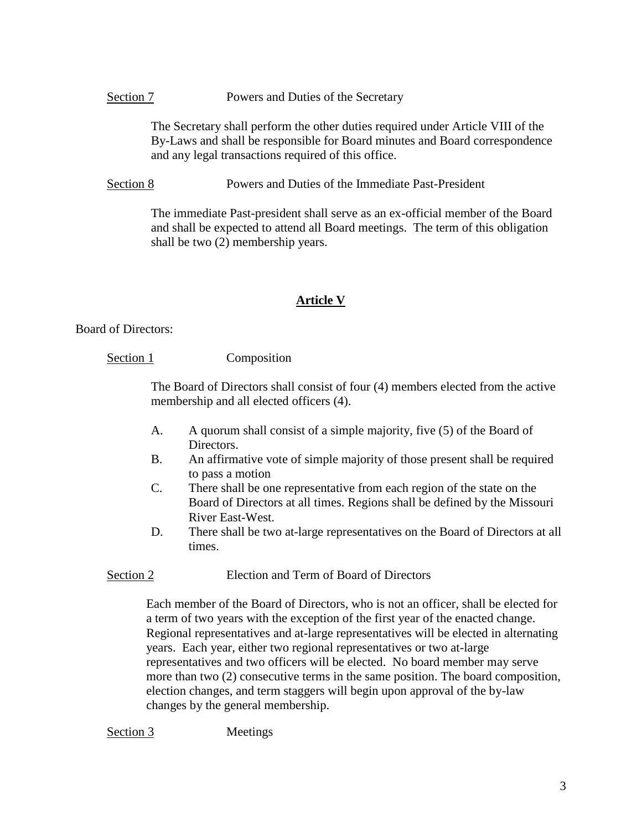## Section 7 Powers and Duties of the Secretary

The Secretary shall perform the other duties required under Article VIII of the By-Laws and shall be responsible for Board minutes and Board correspondence and any legal transactions required of this office.

Section 8 Powers and Duties of the Immediate Past-President

The immediate Past-president shall serve as an ex-official member of the Board and shall be expected to attend all Board meetings. The term of this obligation shall be two (2) membership years.

# **Article V**

Board of Directors:

# Section 1 Composition

The Board of Directors shall consist of four (4) members elected from the active membership and all elected officers (4).

- A. A quorum shall consist of a simple majority, five (5) of the Board of Directors.
- B. An affirmative vote of simple majority of those present shall be required to pass a motion
- C. There shall be one representative from each region of the state on the Board of Directors at all times. Regions shall be defined by the Missouri River East-West.
- D. There shall be two at-large representatives on the Board of Directors at all times.

## Section 2 Election and Term of Board of Directors

Each member of the Board of Directors, who is not an officer, shall be elected for a term of two years with the exception of the first year of the enacted change. Regional representatives and at-large representatives will be elected in alternating years. Each year, either two regional representatives or two at-large representatives and two officers will be elected. No board member may serve more than two (2) consecutive terms in the same position. The board composition, election changes, and term staggers will begin upon approval of the by-law changes by the general membership.

Section 3 Meetings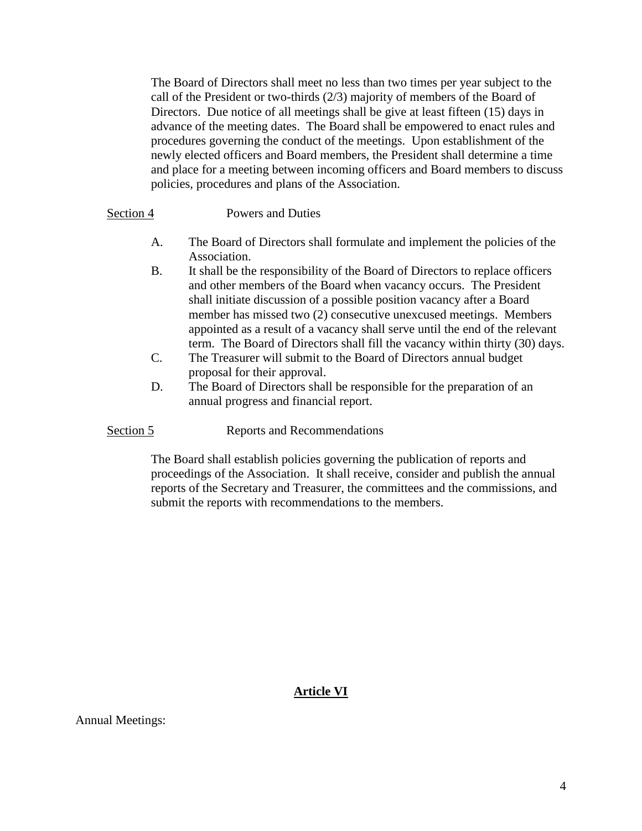The Board of Directors shall meet no less than two times per year subject to the call of the President or two-thirds (2/3) majority of members of the Board of Directors. Due notice of all meetings shall be give at least fifteen (15) days in advance of the meeting dates. The Board shall be empowered to enact rules and procedures governing the conduct of the meetings. Upon establishment of the newly elected officers and Board members, the President shall determine a time and place for a meeting between incoming officers and Board members to discuss policies, procedures and plans of the Association.

#### Section 4 Powers and Duties

- A. The Board of Directors shall formulate and implement the policies of the Association.
- B. It shall be the responsibility of the Board of Directors to replace officers and other members of the Board when vacancy occurs. The President shall initiate discussion of a possible position vacancy after a Board member has missed two (2) consecutive unexcused meetings. Members appointed as a result of a vacancy shall serve until the end of the relevant term. The Board of Directors shall fill the vacancy within thirty (30) days.
- C. The Treasurer will submit to the Board of Directors annual budget proposal for their approval.
- D. The Board of Directors shall be responsible for the preparation of an annual progress and financial report.

Section 5 Reports and Recommendations

The Board shall establish policies governing the publication of reports and proceedings of the Association. It shall receive, consider and publish the annual reports of the Secretary and Treasurer, the committees and the commissions, and submit the reports with recommendations to the members.

## **Article VI**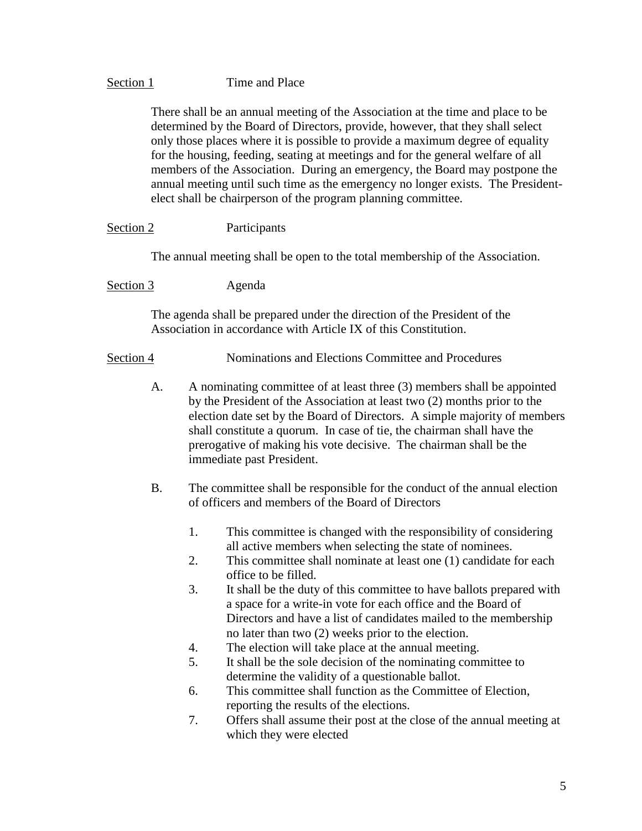## Section 1 Time and Place

There shall be an annual meeting of the Association at the time and place to be determined by the Board of Directors, provide, however, that they shall select only those places where it is possible to provide a maximum degree of equality for the housing, feeding, seating at meetings and for the general welfare of all members of the Association. During an emergency, the Board may postpone the annual meeting until such time as the emergency no longer exists. The Presidentelect shall be chairperson of the program planning committee.

Section 2 Participants

The annual meeting shall be open to the total membership of the Association.

Section 3 Agenda

The agenda shall be prepared under the direction of the President of the Association in accordance with Article IX of this Constitution.

## Section 4 **Nominations and Elections Committee and Procedures**

- A. A nominating committee of at least three (3) members shall be appointed by the President of the Association at least two (2) months prior to the election date set by the Board of Directors. A simple majority of members shall constitute a quorum. In case of tie, the chairman shall have the prerogative of making his vote decisive. The chairman shall be the immediate past President.
- B. The committee shall be responsible for the conduct of the annual election of officers and members of the Board of Directors
	- 1. This committee is changed with the responsibility of considering all active members when selecting the state of nominees.
	- 2. This committee shall nominate at least one (1) candidate for each office to be filled.
	- 3. It shall be the duty of this committee to have ballots prepared with a space for a write-in vote for each office and the Board of Directors and have a list of candidates mailed to the membership no later than two (2) weeks prior to the election.
	- 4. The election will take place at the annual meeting.
	- 5. It shall be the sole decision of the nominating committee to determine the validity of a questionable ballot.
	- 6. This committee shall function as the Committee of Election, reporting the results of the elections.
	- 7. Offers shall assume their post at the close of the annual meeting at which they were elected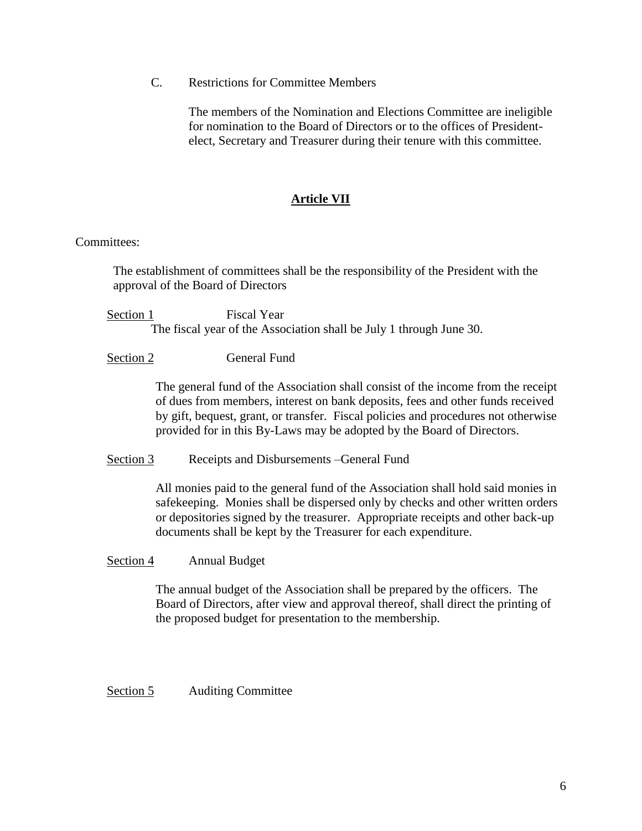C. Restrictions for Committee Members

The members of the Nomination and Elections Committee are ineligible for nomination to the Board of Directors or to the offices of Presidentelect, Secretary and Treasurer during their tenure with this committee.

## **Article VII**

## Committees:

The establishment of committees shall be the responsibility of the President with the approval of the Board of Directors

Section 1 Fiscal Year The fiscal year of the Association shall be July 1 through June 30.

Section 2 General Fund

The general fund of the Association shall consist of the income from the receipt of dues from members, interest on bank deposits, fees and other funds received by gift, bequest, grant, or transfer. Fiscal policies and procedures not otherwise provided for in this By-Laws may be adopted by the Board of Directors.

Section 3 Receipts and Disbursements – General Fund

All monies paid to the general fund of the Association shall hold said monies in safekeeping. Monies shall be dispersed only by checks and other written orders or depositories signed by the treasurer. Appropriate receipts and other back-up documents shall be kept by the Treasurer for each expenditure.

## Section 4 Annual Budget

The annual budget of the Association shall be prepared by the officers. The Board of Directors, after view and approval thereof, shall direct the printing of the proposed budget for presentation to the membership.

Section 5 Auditing Committee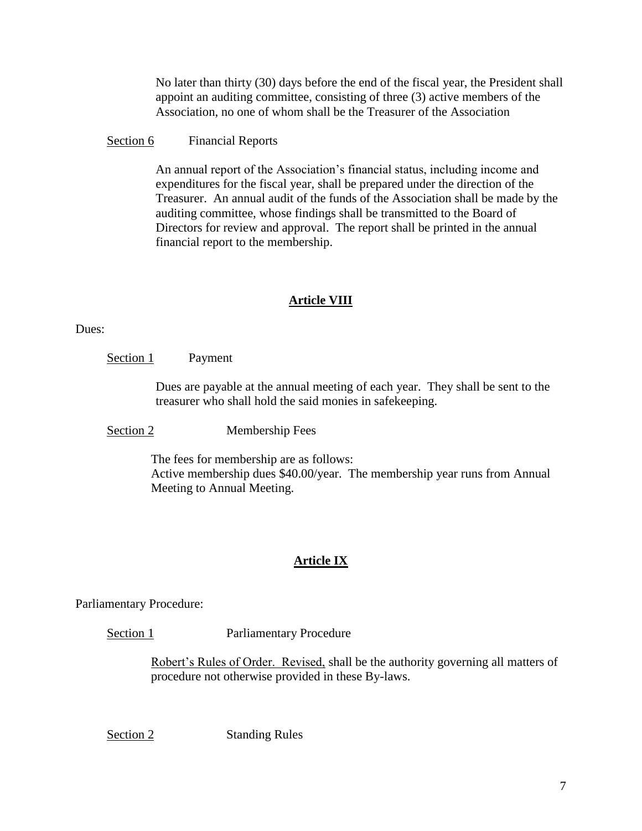No later than thirty (30) days before the end of the fiscal year, the President shall appoint an auditing committee, consisting of three (3) active members of the Association, no one of whom shall be the Treasurer of the Association

# Section 6 Financial Reports

An annual report of the Association's financial status, including income and expenditures for the fiscal year, shall be prepared under the direction of the Treasurer. An annual audit of the funds of the Association shall be made by the auditing committee, whose findings shall be transmitted to the Board of Directors for review and approval. The report shall be printed in the annual financial report to the membership.

# **Article VIII**

Dues:

Section 1 Payment

Dues are payable at the annual meeting of each year. They shall be sent to the treasurer who shall hold the said monies in safekeeping.

Section 2 Membership Fees

The fees for membership are as follows: Active membership dues \$40.00/year. The membership year runs from Annual Meeting to Annual Meeting.

# **Article IX**

Parliamentary Procedure:

Section 1 **Parliamentary Procedure** 

Robert's Rules of Order. Revised, shall be the authority governing all matters of procedure not otherwise provided in these By-laws.

Section 2 Standing Rules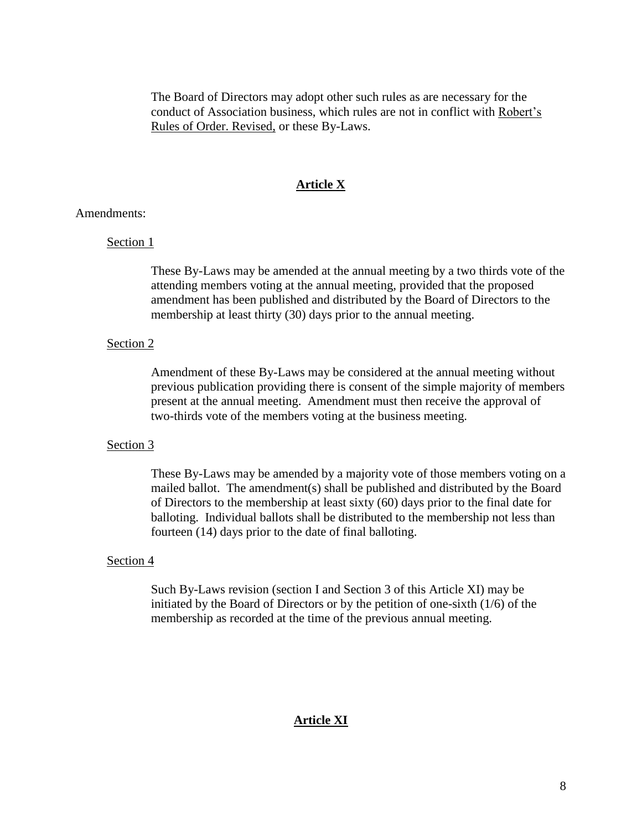The Board of Directors may adopt other such rules as are necessary for the conduct of Association business, which rules are not in conflict with Robert's Rules of Order. Revised, or these By-Laws.

## **Article X**

## Amendments:

### Section 1

These By-Laws may be amended at the annual meeting by a two thirds vote of the attending members voting at the annual meeting, provided that the proposed amendment has been published and distributed by the Board of Directors to the membership at least thirty (30) days prior to the annual meeting.

## Section 2

Amendment of these By-Laws may be considered at the annual meeting without previous publication providing there is consent of the simple majority of members present at the annual meeting. Amendment must then receive the approval of two-thirds vote of the members voting at the business meeting.

## Section 3

These By-Laws may be amended by a majority vote of those members voting on a mailed ballot. The amendment(s) shall be published and distributed by the Board of Directors to the membership at least sixty (60) days prior to the final date for balloting. Individual ballots shall be distributed to the membership not less than fourteen (14) days prior to the date of final balloting.

## Section 4

Such By-Laws revision (section I and Section 3 of this Article XI) may be initiated by the Board of Directors or by the petition of one-sixth (1/6) of the membership as recorded at the time of the previous annual meeting.

#### **Article XI**